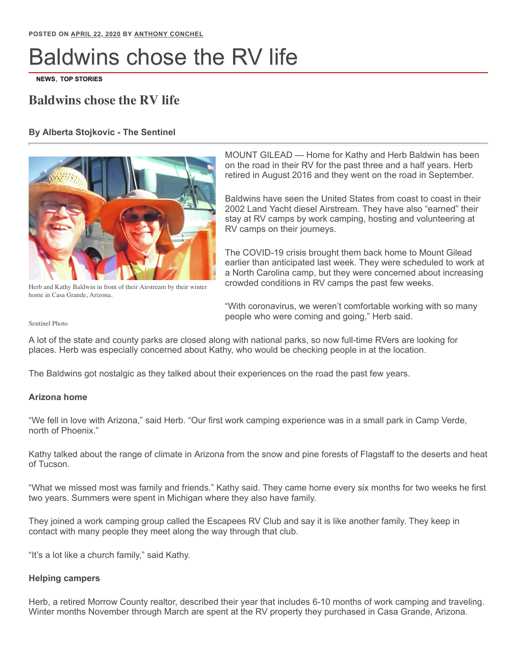# Baldwins chose the RV life

**[NEWS](https://www.morrowcountysentinel.com/category/news)**, **[TOP STORIES](https://www.morrowcountysentinel.com/category/top-stories)**

# **Baldwins chose the RV life**

## **By Alberta Stojkovic - The Sentinel**



MOUNT GILEAD — Home for Kathy and Herb Baldwin has been on the road in their RV for the past three and a half years. Herb retired in August 2016 and they went on the road in September.

Baldwins have seen the United States from coast to coast in their 2002 Land Yacht diesel Airstream. They have also "earned" their stay at RV camps by work camping, hosting and volunteering at RV camps on their journeys.

The COVID-19 crisis brought them back home to Mount Gilead earlier than anticipated last week. They were scheduled to work at a North Carolina camp, but they were concerned about increasing crowded conditions in RV camps the past few weeks.

Herb and Kathy Baldwin in front of their Airstream by their winter home in Casa Grande, Arizona.

"With coronavirus, we weren't comfortable working with so many people who were coming and going," Herb said.

Sentinel Photo

A lot of the state and county parks are closed along with national parks, so now full-time RVers are looking for places. Herb was especially concerned about Kathy, who would be checking people in at the location.

The Baldwins got nostalgic as they talked about their experiences on the road the past few years.

### **Arizona home**

"We fell in love with Arizona," said Herb. "Our first work camping experience was in a small park in Camp Verde, north of Phoenix."

Kathy talked about the range of climate in Arizona from the snow and pine forests of Flagstaff to the deserts and heat of Tucson.

"What we missed most was family and friends." Kathy said. They came home every six months for two weeks he first two years. Summers were spent in Michigan where they also have family.

They joined a work camping group called the Escapees RV Club and say it is like another family. They keep in contact with many people they meet along the way through that club.

"It's a lot like a church family," said Kathy.

### **Helping campers**

Herb, a retired Morrow County realtor, described their year that includes 6-10 months of work camping and traveling. Winter months November through March are spent at the RV property they purchased in Casa Grande, Arizona.